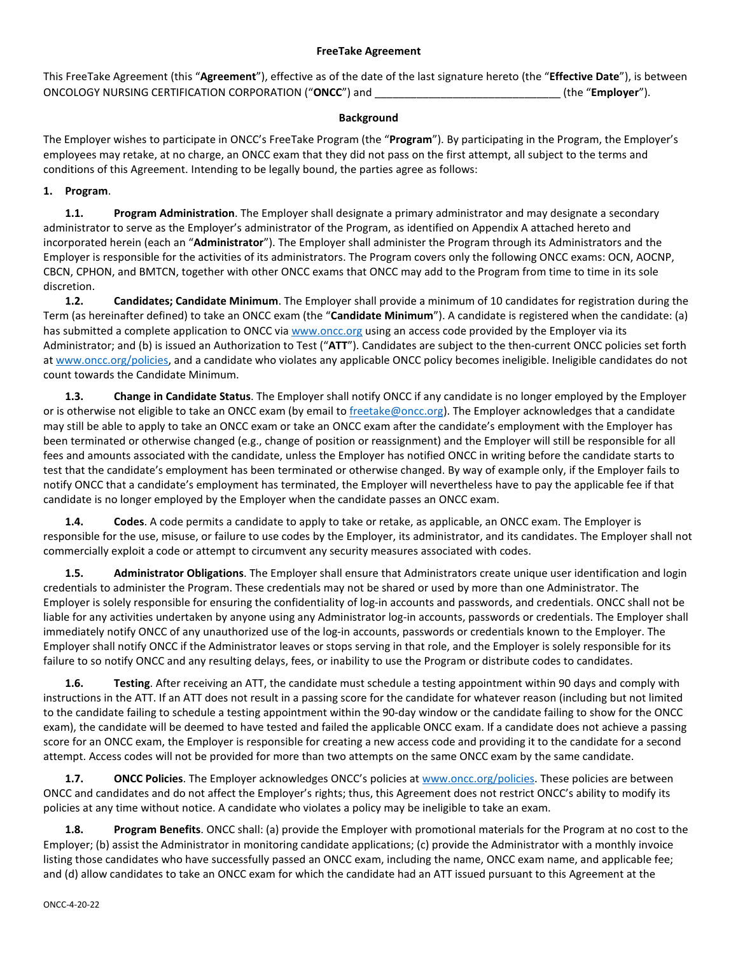## **FreeTake Agreement**

This FreeTake Agreement (this "**Agreement**"), effective as of the date of the last signature hereto (the "**Effective Date**"), is between ONCOLOGY NURSING CERTIFICATION CORPORATION ("**ONCC**") and \_\_\_\_\_\_\_\_\_\_\_\_\_\_\_\_\_\_\_\_\_\_\_\_\_\_\_\_\_\_\_ (the "**Employer**").

### **Background**

The Employer wishes to participate in ONCC's FreeTake Program (the "**Program**"). By participating in the Program, the Employer's employees may retake, at no charge, an ONCC exam that they did not pass on the first attempt, all subject to the terms and conditions of this Agreement. Intending to be legally bound, the parties agree as follows:

## **1. Program**.

**1.1. Program Administration**. The Employer shall designate a primary administrator and may designate a secondary administrator to serve as the Employer's administrator of the Program, as identified on Appendix A attached hereto and incorporated herein (each an "**Administrator**"). The Employer shall administer the Program through its Administrators and the Employer is responsible for the activities of its administrators. The Program covers only the following ONCC exams: OCN, AOCNP, CBCN, CPHON, and BMTCN, together with other ONCC exams that ONCC may add to the Program from time to time in its sole discretion.

**1.2. Candidates; Candidate Minimum**. The Employer shall provide a minimum of 10 candidates for registration during the Term (as hereinafter defined) to take an ONCC exam (the "**Candidate Minimum**"). A candidate is registered when the candidate: (a) has submitted a complete application to ONCC via [www.oncc.org](http://www.oncc.org/) using an access code provided by the Employer via its Administrator; and (b) is issued an Authorization to Test ("**ATT**"). Candidates are subject to the then-current ONCC policies set forth a[t www.oncc.org/policies,](http://www.oncc.org/policies) and a candidate who violates any applicable ONCC policy becomes ineligible. Ineligible candidates do not count towards the Candidate Minimum.

**1.3. Change in Candidate Status**. The Employer shall notify ONCC if any candidate is no longer employed by the Employer or is otherwise not eligible to take an ONCC exam (by email to [freetake@oncc.org\)](mailto:freetake@oncc.org). The Employer acknowledges that a candidate may still be able to apply to take an ONCC exam or take an ONCC exam after the candidate's employment with the Employer has been terminated or otherwise changed (e.g., change of position or reassignment) and the Employer will still be responsible for all fees and amounts associated with the candidate, unless the Employer has notified ONCC in writing before the candidate starts to test that the candidate's employment has been terminated or otherwise changed. By way of example only, if the Employer fails to notify ONCC that a candidate's employment has terminated, the Employer will nevertheless have to pay the applicable fee if that candidate is no longer employed by the Employer when the candidate passes an ONCC exam.

**1.4. Codes**. A code permits a candidate to apply to take or retake, as applicable, an ONCC exam. The Employer is responsible for the use, misuse, or failure to use codes by the Employer, its administrator, and its candidates. The Employer shall not commercially exploit a code or attempt to circumvent any security measures associated with codes.

**1.5. Administrator Obligations**. The Employer shall ensure that Administrators create unique user identification and login credentials to administer the Program. These credentials may not be shared or used by more than one Administrator. The Employer is solely responsible for ensuring the confidentiality of log-in accounts and passwords, and credentials. ONCC shall not be liable for any activities undertaken by anyone using any Administrator log-in accounts, passwords or credentials. The Employer shall immediately notify ONCC of any unauthorized use of the log-in accounts, passwords or credentials known to the Employer. The Employer shall notify ONCC if the Administrator leaves or stops serving in that role, and the Employer is solely responsible for its failure to so notify ONCC and any resulting delays, fees, or inability to use the Program or distribute codes to candidates.

**1.6. Testing**. After receiving an ATT, the candidate must schedule a testing appointment within 90 days and comply with instructions in the ATT. If an ATT does not result in a passing score for the candidate for whatever reason (including but not limited to the candidate failing to schedule a testing appointment within the 90-day window or the candidate failing to show for the ONCC exam), the candidate will be deemed to have tested and failed the applicable ONCC exam. If a candidate does not achieve a passing score for an ONCC exam, the Employer is responsible for creating a new access code and providing it to the candidate for a second attempt. Access codes will not be provided for more than two attempts on the same ONCC exam by the same candidate.

**1.7. ONCC Policies**. The Employer acknowledges ONCC's policies a[t www.oncc.org/policies.](http://www.oncc.org/policies) These policies are between ONCC and candidates and do not affect the Employer's rights; thus, this Agreement does not restrict ONCC's ability to modify its policies at any time without notice. A candidate who violates a policy may be ineligible to take an exam.

**1.8. Program Benefits**. ONCC shall: (a) provide the Employer with promotional materials for the Program at no cost to the Employer; (b) assist the Administrator in monitoring candidate applications; (c) provide the Administrator with a monthly invoice listing those candidates who have successfully passed an ONCC exam, including the name, ONCC exam name, and applicable fee; and (d) allow candidates to take an ONCC exam for which the candidate had an ATT issued pursuant to this Agreement at the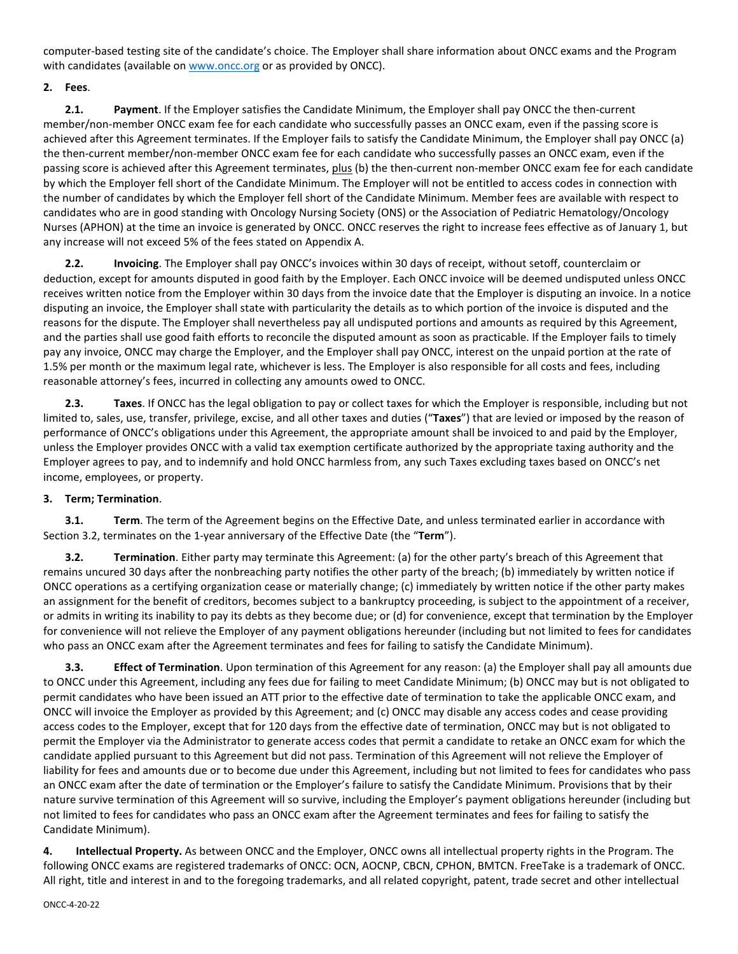computer-based testing site of the candidate's choice. The Employer shall share information about ONCC exams and the Program with candidates (available on [www.oncc.org](http://www.oncc.org/) or as provided by ONCC).

# **2. Fees**.

**2.1. Payment**. If the Employer satisfies the Candidate Minimum, the Employer shall pay ONCC the then-current member/non-member ONCC exam fee for each candidate who successfully passes an ONCC exam, even if the passing score is achieved after this Agreement terminates. If the Employer fails to satisfy the Candidate Minimum, the Employer shall pay ONCC (a) the then-current member/non-member ONCC exam fee for each candidate who successfully passes an ONCC exam, even if the passing score is achieved after this Agreement terminates, plus (b) the then-current non-member ONCC exam fee for each candidate by which the Employer fell short of the Candidate Minimum. The Employer will not be entitled to access codes in connection with the number of candidates by which the Employer fell short of the Candidate Minimum. Member fees are available with respect to candidates who are in good standing with Oncology Nursing Society (ONS) or the Association of Pediatric Hematology/Oncology Nurses (APHON) at the time an invoice is generated by ONCC. ONCC reserves the right to increase fees effective as of January 1, but any increase will not exceed 5% of the fees stated on Appendix A.

**2.2. Invoicing**. The Employer shall pay ONCC's invoices within 30 days of receipt, without setoff, counterclaim or deduction, except for amounts disputed in good faith by the Employer. Each ONCC invoice will be deemed undisputed unless ONCC receives written notice from the Employer within 30 days from the invoice date that the Employer is disputing an invoice. In a notice disputing an invoice, the Employer shall state with particularity the details as to which portion of the invoice is disputed and the reasons for the dispute. The Employer shall nevertheless pay all undisputed portions and amounts as required by this Agreement, and the parties shall use good faith efforts to reconcile the disputed amount as soon as practicable. If the Employer fails to timely pay any invoice, ONCC may charge the Employer, and the Employer shall pay ONCC, interest on the unpaid portion at the rate of 1.5% per month or the maximum legal rate, whichever is less. The Employer is also responsible for all costs and fees, including reasonable attorney's fees, incurred in collecting any amounts owed to ONCC.

**2.3. Taxes**. If ONCC has the legal obligation to pay or collect taxes for which the Employer is responsible, including but not limited to, sales, use, transfer, privilege, excise, and all other taxes and duties ("**Taxes**") that are levied or imposed by the reason of performance of ONCC's obligations under this Agreement, the appropriate amount shall be invoiced to and paid by the Employer, unless the Employer provides ONCC with a valid tax exemption certificate authorized by the appropriate taxing authority and the Employer agrees to pay, and to indemnify and hold ONCC harmless from, any such Taxes excluding taxes based on ONCC's net income, employees, or property.

## **3. Term; Termination**.

**3.1. Term**. The term of the Agreement begins on the Effective Date, and unless terminated earlier in accordance with Section [3.2,](#page-1-0) terminates on the 1-year anniversary of the Effective Date (the "**Term**").

<span id="page-1-0"></span>**3.2. Termination**. Either party may terminate this Agreement: (a) for the other party's breach of this Agreement that remains uncured 30 days after the nonbreaching party notifies the other party of the breach; (b) immediately by written notice if ONCC operations as a certifying organization cease or materially change; (c) immediately by written notice if the other party makes an assignment for the benefit of creditors, becomes subject to a bankruptcy proceeding, is subject to the appointment of a receiver, or admits in writing its inability to pay its debts as they become due; or (d) for convenience, except that termination by the Employer for convenience will not relieve the Employer of any payment obligations hereunder (including but not limited to fees for candidates who pass an ONCC exam after the Agreement terminates and fees for failing to satisfy the Candidate Minimum).

**3.3. Effect of Termination**. Upon termination of this Agreement for any reason: (a) the Employer shall pay all amounts due to ONCC under this Agreement, including any fees due for failing to meet Candidate Minimum; (b) ONCC may but is not obligated to permit candidates who have been issued an ATT prior to the effective date of termination to take the applicable ONCC exam, and ONCC will invoice the Employer as provided by this Agreement; and (c) ONCC may disable any access codes and cease providing access codes to the Employer, except that for 120 days from the effective date of termination, ONCC may but is not obligated to permit the Employer via the Administrator to generate access codes that permit a candidate to retake an ONCC exam for which the candidate applied pursuant to this Agreement but did not pass. Termination of this Agreement will not relieve the Employer of liability for fees and amounts due or to become due under this Agreement, including but not limited to fees for candidates who pass an ONCC exam after the date of termination or the Employer's failure to satisfy the Candidate Minimum. Provisions that by their nature survive termination of this Agreement will so survive, including the Employer's payment obligations hereunder (including but not limited to fees for candidates who pass an ONCC exam after the Agreement terminates and fees for failing to satisfy the Candidate Minimum).

**4. Intellectual Property.** As between ONCC and the Employer, ONCC owns all intellectual property rights in the Program. The following ONCC exams are registered trademarks of ONCC: OCN, AOCNP, CBCN, CPHON, BMTCN. FreeTake is a trademark of ONCC. All right, title and interest in and to the foregoing trademarks, and all related copyright, patent, trade secret and other intellectual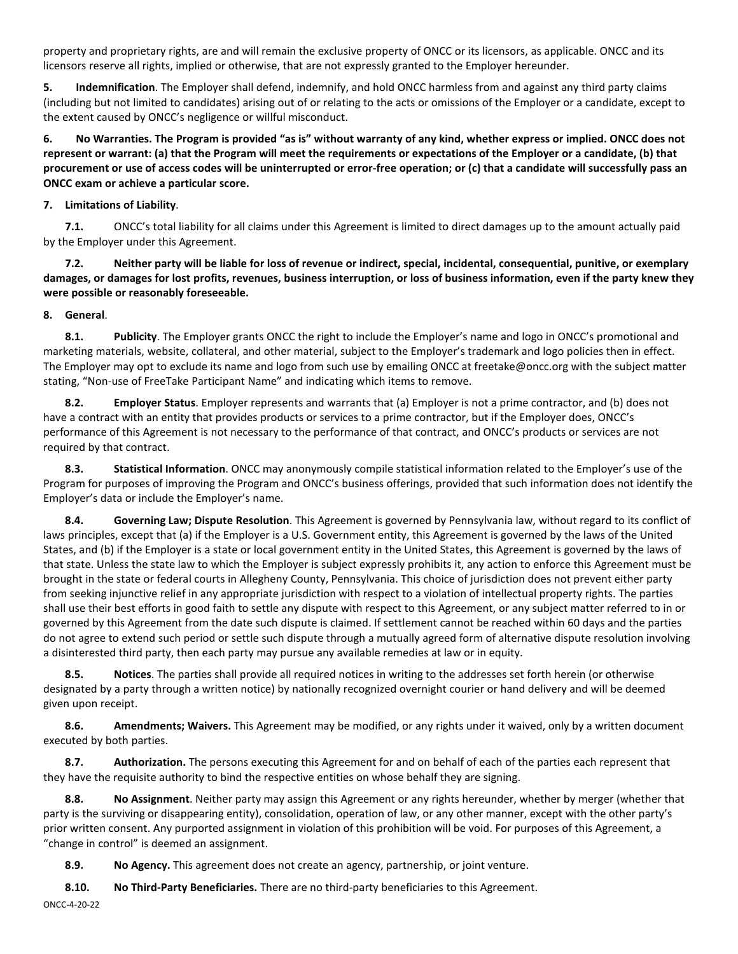property and proprietary rights, are and will remain the exclusive property of ONCC or its licensors, as applicable. ONCC and its licensors reserve all rights, implied or otherwise, that are not expressly granted to the Employer hereunder.

**5. Indemnification**. The Employer shall defend, indemnify, and hold ONCC harmless from and against any third party claims (including but not limited to candidates) arising out of or relating to the acts or omissions of the Employer or a candidate, except to the extent caused by ONCC's negligence or willful misconduct.

**6. No Warranties. The Program is provided "as is" without warranty of any kind, whether express or implied. ONCC does not represent or warrant: (a) that the Program will meet the requirements or expectations of the Employer or a candidate, (b) that procurement or use of access codes will be uninterrupted or error-free operation; or (c) that a candidate will successfully pass an ONCC exam or achieve a particular score.**

## **7. Limitations of Liability**.

**7.1.** ONCC's total liability for all claims under this Agreement is limited to direct damages up to the amount actually paid by the Employer under this Agreement.

**7.2. Neither party will be liable for loss of revenue or indirect, special, incidental, consequential, punitive, or exemplary damages, or damages for lost profits, revenues, business interruption, or loss of business information, even if the party knew they were possible or reasonably foreseeable.**

## **8. General**.

**8.1. Publicity**. The Employer grants ONCC the right to include the Employer's name and logo in ONCC's promotional and marketing materials, website, collateral, and other material, subject to the Employer's trademark and logo policies then in effect. The Employer may opt to exclude its name and logo from such use by emailing ONCC at freetake@oncc.org with the subject matter stating, "Non-use of FreeTake Participant Name" and indicating which items to remove.

**8.2. Employer Status**. Employer represents and warrants that (a) Employer is not a prime contractor, and (b) does not have a contract with an entity that provides products or services to a prime contractor, but if the Employer does, ONCC's performance of this Agreement is not necessary to the performance of that contract, and ONCC's products or services are not required by that contract.

**8.3. Statistical Information**. ONCC may anonymously compile statistical information related to the Employer's use of the Program for purposes of improving the Program and ONCC's business offerings, provided that such information does not identify the Employer's data or include the Employer's name.

**8.4. Governing Law; Dispute Resolution**. This Agreement is governed by Pennsylvania law, without regard to its conflict of laws principles, except that (a) if the Employer is a U.S. Government entity, this Agreement is governed by the laws of the United States, and (b) if the Employer is a state or local government entity in the United States, this Agreement is governed by the laws of that state. Unless the state law to which the Employer is subject expressly prohibits it, any action to enforce this Agreement must be brought in the state or federal courts in Allegheny County, Pennsylvania. This choice of jurisdiction does not prevent either party from seeking injunctive relief in any appropriate jurisdiction with respect to a violation of intellectual property rights. The parties shall use their best efforts in good faith to settle any dispute with respect to this Agreement, or any subject matter referred to in or governed by this Agreement from the date such dispute is claimed. If settlement cannot be reached within 60 days and the parties do not agree to extend such period or settle such dispute through a mutually agreed form of alternative dispute resolution involving a disinterested third party, then each party may pursue any available remedies at law or in equity.

**8.5. Notices**. The parties shall provide all required notices in writing to the addresses set forth herein (or otherwise designated by a party through a written notice) by nationally recognized overnight courier or hand delivery and will be deemed given upon receipt.

**8.6. Amendments; Waivers.** This Agreement may be modified, or any rights under it waived, only by a written document executed by both parties.

**8.7. Authorization.** The persons executing this Agreement for and on behalf of each of the parties each represent that they have the requisite authority to bind the respective entities on whose behalf they are signing.

**8.8. No Assignment**. Neither party may assign this Agreement or any rights hereunder, whether by merger (whether that party is the surviving or disappearing entity), consolidation, operation of law, or any other manner, except with the other party's prior written consent. Any purported assignment in violation of this prohibition will be void. For purposes of this Agreement, a "change in control" is deemed an assignment.

**8.9. No Agency.** This agreement does not create an agency, partnership, or joint venture.

**8.10. No Third-Party Beneficiaries.** There are no third-party beneficiaries to this Agreement.

ONCC-4-20-22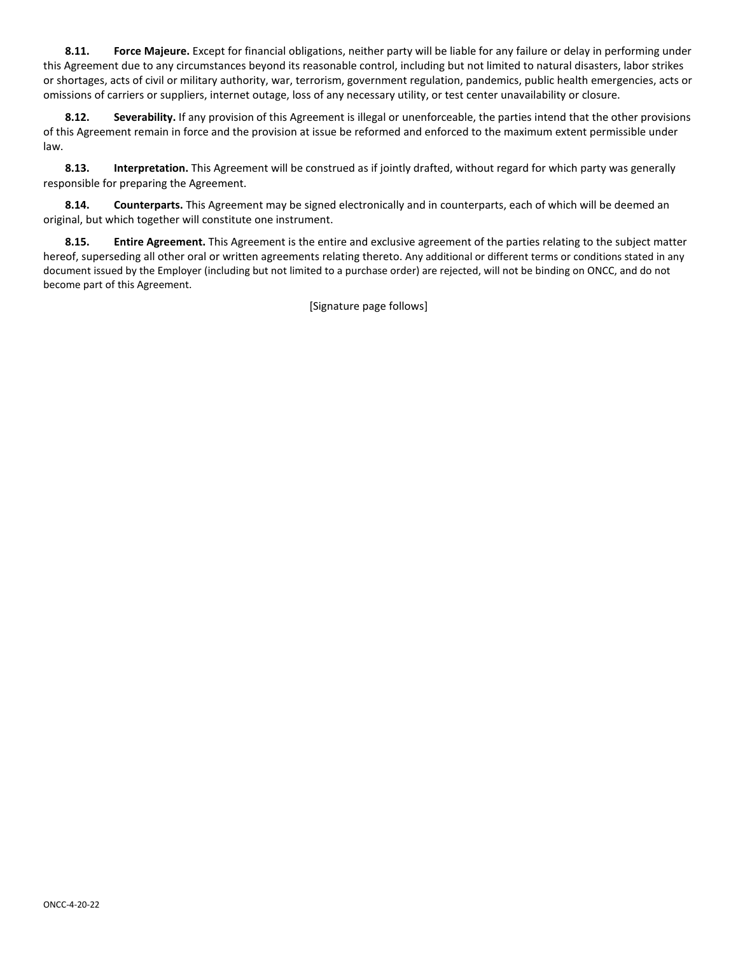**8.11. Force Majeure.** Except for financial obligations, neither party will be liable for any failure or delay in performing under this Agreement due to any circumstances beyond its reasonable control, including but not limited to natural disasters, labor strikes or shortages, acts of civil or military authority, war, terrorism, government regulation, pandemics, public health emergencies, acts or omissions of carriers or suppliers, internet outage, loss of any necessary utility, or test center unavailability or closure.

**8.12. Severability.** If any provision of this Agreement is illegal or unenforceable, the parties intend that the other provisions of this Agreement remain in force and the provision at issue be reformed and enforced to the maximum extent permissible under law.

**8.13. Interpretation.** This Agreement will be construed as if jointly drafted, without regard for which party was generally responsible for preparing the Agreement.

**8.14. Counterparts.** This Agreement may be signed electronically and in counterparts, each of which will be deemed an original, but which together will constitute one instrument.

**8.15. Entire Agreement.** This Agreement is the entire and exclusive agreement of the parties relating to the subject matter hereof, superseding all other oral or written agreements relating thereto. Any additional or different terms or conditions stated in any document issued by the Employer (including but not limited to a purchase order) are rejected, will not be binding on ONCC, and do not become part of this Agreement.

[Signature page follows]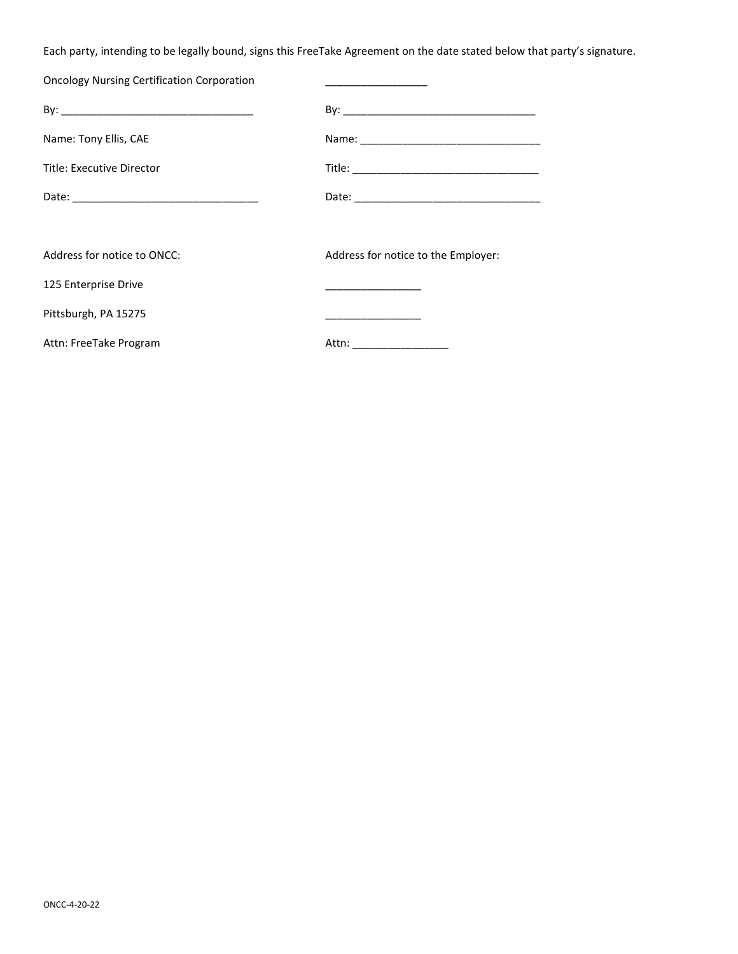Each party, intending to be legally bound, signs this FreeTake Agreement on the date stated below that party's signature.

| <b>Oncology Nursing Certification Corporation</b> | <u> 1989 - Johann John Stone, mensk politik fotograf (</u> |
|---------------------------------------------------|------------------------------------------------------------|
|                                                   |                                                            |
| Name: Tony Ellis, CAE                             |                                                            |
| Title: Executive Director                         |                                                            |
|                                                   |                                                            |
|                                                   |                                                            |
| Address for notice to ONCC:                       | Address for notice to the Employer:                        |
| 125 Enterprise Drive                              | the control of the control of the control of               |
| Pittsburgh, PA 15275                              |                                                            |
| Attn: FreeTake Program                            | Attn: _________________                                    |